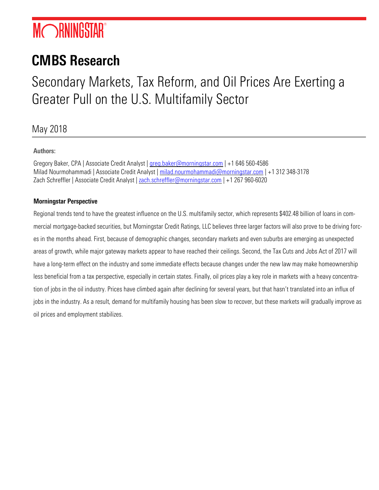# **MORNINGSTAR®**

# CMBS Research

# Secondary Markets, Tax Reform, and Oil Prices Are Exerting a Greater Pull on the U.S. Multifamily Sector

May 2018

# Authors:

Gregory Baker, CPA | Associate Credit Analyst [| greg.baker@morningstar.com](mailto:greg.baker@morningstar.com) | +1 646 560-4586 Milad Nourmohammadi | Associate Credit Analyst | [milad.nourmohammadi@morningstar.com](mailto:milad.nourmohammadi@morningstar.com) | +1 312 348-3178 Zach Schreffler | Associate Credit Analyst [| zach.schreffler@morningstar.com](mailto:zach.schreffler@morningstar.com) | +1 267 960-6020

# Morningstar Perspective

Regional trends tend to have the greatest influence on the U.S. multifamily sector, which represents \$402.48 billion of loans in commercial mortgage-backed securities, but Morningstar Credit Ratings, LLC believes three larger factors will also prove to be driving forces in the months ahead. First, because of demographic changes, secondary markets and even suburbs are emerging as unexpected areas of growth, while major gateway markets appear to have reached their ceilings. Second, the Tax Cuts and Jobs Act of 2017 will have a long-term effect on the industry and some immediate effects because changes under the new law may make homeownership less beneficial from a tax perspective, especially in certain states. Finally, oil prices play a key role in markets with a heavy concentration of jobs in the oil industry. Prices have climbed again after declining for several years, but that hasn't translated into an influx of jobs in the industry. As a result, demand for multifamily housing has been slow to recover, but these markets will gradually improve as oil prices and employment stabilizes.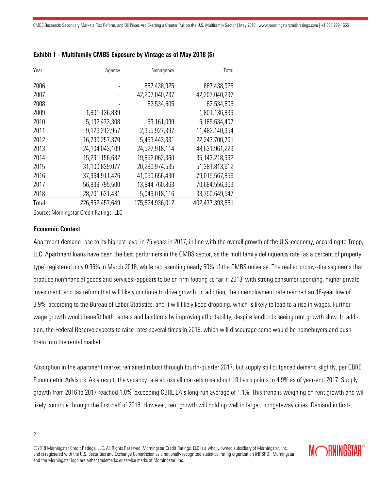| Year  | Agency          | Nonagency       | Total             |
|-------|-----------------|-----------------|-------------------|
| 2006  |                 | 887,438,925     | 887,438,925       |
| 2007  |                 | 42,207,040,237  | 42,207,040,237    |
| 2008  |                 | 62,534,605      | 62,534,605        |
| 2009  | 1,801,136,839   |                 | 1,801,136,839     |
| 2010  | 5,132,473,308   | 53,161,099      | 5,185,634,407     |
| 2011  | 9,126,212,957   | 2,355,927,397   | 11,482,140,354    |
| 2012  | 16,790,257,370  | 5,453,443,331   | 22,243,700,701    |
| 2013  | 24,104,043,109  | 24,527,918,114  | 48,631,961,223    |
| 2014  | 15,291,156,632  | 19,852,062,360  | 35, 143, 218, 992 |
| 2015  | 31,100,839,077  | 20,280,974,535  | 51,381,813,612    |
| 2016  | 37,964,911,426  | 41,050,656,430  | 79,015,567,856    |
| 2017  | 56,839,795,500  | 13,844,760,863  | 70,684,556,363    |
| 2018  | 28,701,631,431  | 5,049,018,116   | 33,750,649,547    |
| Total | 226,852,457,649 | 175,624,936,012 | 402,477,393,661   |

# Exhibit 1 - Multifamily CMBS Exposure by Vintage as of May 2018 (\$)

Source: Morningstar Credit Ratings, LLC

### Economic Context

Apartment demand rose to its highest level in 25 years in 2017, in line with the overall growth of the U.S. economy, according to Trepp, LLC. Apartment loans have been the best performers in the CMBS sector, as the multifamily delinquency rate (as a percent of property type) registered only 0.36% in March 2018, while representing nearly 50% of the CMBS universe. The real economy--the segments that produce nonfinancial goods and services--appears to be on firm footing so far in 2018, with strong consumer spending, higher private investment, and tax reform that will likely continue to drive growth. In addition, the unemployment rate reached an 18-year low of 3.9%, according to the Bureau of Labor Statistics, and it will likely keep dropping, which is likely to lead to a rise in wages. Further wage growth would benefit both renters and landlords by improving affordability, despite landlords seeing rent growth slow. In addition, the Federal Reserve expects to raise rates several times in 2018, which will discourage some would-be homebuyers and push them into the rental market.

Absorption in the apartment market remained robust through fourth-quarter 2017, but supply still outpaced demand slightly, per CBRE Econometric Advisors. As a result, the vacancy rate across all markets rose about 10 basis points to 4.9% as of year-end 2017. Supply growth from 2016 to 2017 reached 1.8%, exceeding CBRE EA's long-run average of 1.1%. This trend is weighing on rent growth and will likely continue through the first half of 2018. However, rent growth will hold up well in larger, nongateway cities. Demand in first-

<sup>©2018</sup> Morningstar Credit Ratings, LLC. All Rights Reserved. Morningstar Credit Ratings, LLC is a wholly owned subsidiary of Morningstar, Inc. and is registered with the U.S. Securities and Exchange Commission as a nationally recognized statistical rating organization (NRSRO). Morningstar and the Morningstar logo are either trademarks or service marks of Morningstar, Inc.

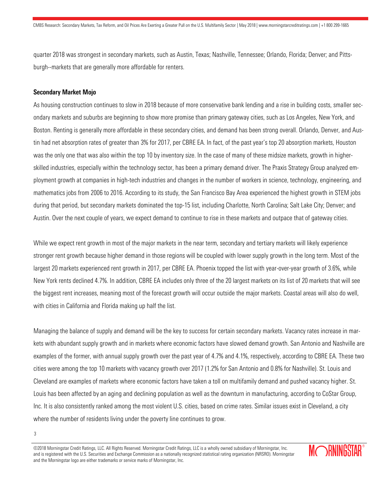quarter 2018 was strongest in secondary markets, such as Austin, Texas; Nashville, Tennessee; Orlando, Florida; Denver; and Pittsburgh--markets that are generally more affordable for renters.

#### Secondary Market Mojo

As housing construction continues to slow in 2018 because of more conservative bank lending and a rise in building costs, smaller secondary markets and suburbs are beginning to show more promise than primary gateway cities, such as Los Angeles, New York, and Boston. Renting is generally more affordable in these secondary cities, and demand has been strong overall. Orlando, Denver, and Austin had net absorption rates of greater than 3% for 2017, per CBRE EA. In fact, of the past year's top 20 absorption markets, Houston was the only one that was also within the top 10 by inventory size. In the case of many of these midsize markets, growth in higherskilled industries, especially within the technology sector, has been a primary demand driver. The Praxis Strategy Group analyzed employment growth at companies in high-tech industries and changes in the number of workers in science, technology, engineering, and mathematics jobs from 2006 to 2016. According to its study, the San Francisco Bay Area experienced the highest growth in STEM jobs during that period, but secondary markets dominated the top-15 list, including Charlotte, North Carolina; Salt Lake City; Denver; and Austin. Over the next couple of years, we expect demand to continue to rise in these markets and outpace that of gateway cities.

While we expect rent growth in most of the major markets in the near term, secondary and tertiary markets will likely experience stronger rent growth because higher demand in those regions will be coupled with lower supply growth in the long term. Most of the largest 20 markets experienced rent growth in 2017, per CBRE EA. Phoenix topped the list with year-over-year growth of 3.6%, while New York rents declined 4.7%. In addition, CBRE EA includes only three of the 20 largest markets on its list of 20 markets that will see the biggest rent increases, meaning most of the forecast growth will occur outside the major markets. Coastal areas will also do well, with cities in California and Florida making up half the list.

Managing the balance of supply and demand will be the key to success for certain secondary markets. Vacancy rates increase in markets with abundant supply growth and in markets where economic factors have slowed demand growth. San Antonio and Nashville are examples of the former, with annual supply growth over the past year of 4.7% and 4.1%, respectively, according to CBRE EA. These two cities were among the top 10 markets with vacancy growth over 2017 (1.2% for San Antonio and 0.8% for Nashville). St. Louis and Cleveland are examples of markets where economic factors have taken a toll on multifamily demand and pushed vacancy higher. St. Louis has been affected by an aging and declining population as well as the downturn in manufacturing, according to CoStar Group, Inc. It is also consistently ranked among the most violent U.S. cities, based on crime rates. Similar issues exist in Cleveland, a city where the number of residents living under the poverty line continues to grow.

<sup>©2018</sup> Morningstar Credit Ratings, LLC. All Rights Reserved. Morningstar Credit Ratings, LLC is a wholly owned subsidiary of Morningstar, Inc. and is registered with the U.S. Securities and Exchange Commission as a nationally recognized statistical rating organization (NRSRO). Morningstar and the Morningstar logo are either trademarks or service marks of Morningstar, Inc.



<sup>3</sup>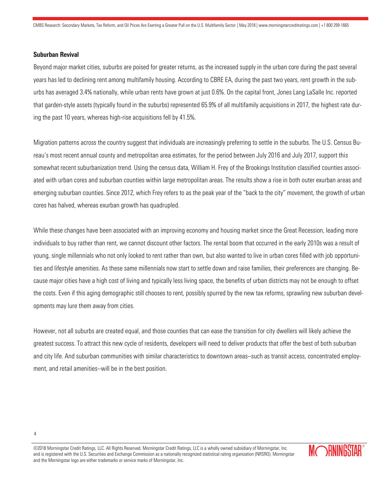#### Suburban Revival

Beyond major market cities, suburbs are poised for greater returns, as the increased supply in the urban core during the past several years has led to declining rent among multifamily housing. According to CBRE EA, during the past two years, rent growth in the suburbs has averaged 3.4% nationally, while urban rents have grown at just 0.6%. On the capital front, Jones Lang LaSalle Inc. reported that garden-style assets (typically found in the suburbs) represented 65.9% of all multifamily acquisitions in 2017, the highest rate during the past 10 years, whereas high-rise acquisitions fell by 41.5%.

Migration patterns across the country suggest that individuals are increasingly preferring to settle in the suburbs. The U.S. Census Bureau's most recent annual county and metropolitan area estimates, for the period between July 2016 and July 2017, support this somewhat recent suburbanization trend. Using the census data, William H. Frey of the Brookings Institution classified counties associated with urban cores and suburban counties within large metropolitan areas. The results show a rise in both outer exurban areas and emerging suburban counties. Since 2012, which Frey refers to as the peak year of the "back to the city" movement, the growth of urban cores has halved, whereas exurban growth has quadrupled.

While these changes have been associated with an improving economy and housing market since the Great Recession, leading more individuals to buy rather than rent, we cannot discount other factors. The rental boom that occurred in the early 2010s was a result of young, single millennials who not only looked to rent rather than own, but also wanted to live in urban cores filled with job opportunities and lifestyle amenities. As these same millennials now start to settle down and raise families, their preferences are changing. Because major cities have a high cost of living and typically less living space, the benefits of urban districts may not be enough to offset the costs. Even if this aging demographic still chooses to rent, possibly spurred by the new tax reforms, sprawling new suburban developments may lure them away from cities.

However, not all suburbs are created equal, and those counties that can ease the transition for city dwellers will likely achieve the greatest success. To attract this new cycle of residents, developers will need to deliver products that offer the best of both suburban and city life. And suburban communities with similar characteristics to downtown areas--such as transit access, concentrated employment, and retail amenities--will be in the best position.

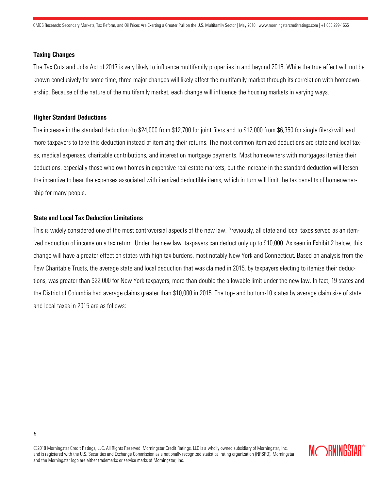#### Taxing Changes

The Tax Cuts and Jobs Act of 2017 is very likely to influence multifamily properties in and beyond 2018. While the true effect will not be known conclusively for some time, three major changes will likely affect the multifamily market through its correlation with homeownership. Because of the nature of the multifamily market, each change will influence the housing markets in varying ways.

#### Higher Standard Deductions

The increase in the standard deduction (to \$24,000 from \$12,700 for joint filers and to \$12,000 from \$6,350 for single filers) will lead more taxpayers to take this deduction instead of itemizing their returns. The most common itemized deductions are state and local taxes, medical expenses, charitable contributions, and interest on mortgage payments. Most homeowners with mortgages itemize their deductions, especially those who own homes in expensive real estate markets, but the increase in the standard deduction will lessen the incentive to bear the expenses associated with itemized deductible items, which in turn will limit the tax benefits of homeownership for many people.

#### State and Local Tax Deduction Limitations

This is widely considered one of the most controversial aspects of the new law. Previously, all state and local taxes served as an itemized deduction of income on a tax return. Under the new law, taxpayers can deduct only up to \$10,000. As seen in Exhibit 2 below, this change will have a greater effect on states with high tax burdens, most notably New York and Connecticut. Based on analysis from the Pew Charitable Trusts, the average state and local deduction that was claimed in 2015, by taxpayers electing to itemize their deductions, was greater than \$22,000 for New York taxpayers, more than double the allowable limit under the new law. In fact, 19 states and the District of Columbia had average claims greater than \$10,000 in 2015. The top- and bottom-10 states by average claim size of state and local taxes in 2015 are as follows:

<sup>©2018</sup> Morningstar Credit Ratings, LLC. All Rights Reserved. Morningstar Credit Ratings, LLC is a wholly owned subsidiary of Morningstar, Inc. and is registered with the U.S. Securities and Exchange Commission as a nationally recognized statistical rating organization (NRSRO). Morningstar and the Morningstar logo are either trademarks or service marks of Morningstar, Inc.

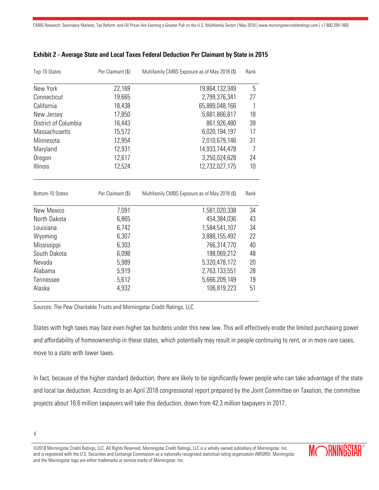| Top-10 States        | Per Claimant (\$) | Multifamily CMBS Exposure as of May 2018 (\$) | Rank |
|----------------------|-------------------|-----------------------------------------------|------|
| New York             | 22,169            | 19,864,132,349                                | 5    |
| Connecticut          | 19,665            | 2,799,376,341                                 | 27   |
| California           | 18,438            | 65,889,048,166                                | 1    |
| New Jersey           | 17,850            | 5,881,866,817                                 | 18   |
| District of Columbia | 16,443            | 861,926,480                                   | 39   |
| Massachusetts        | 15,572            | 6,020,194,197                                 | 17   |
| Minnesota            | 12,954            | 2,010,679,146                                 | 31   |
| Maryland             | 12,931            | 14,933,744,478                                | 7    |
| Oregon               | 12,617            | 3,250,024,628                                 | 24   |
| Illinois             | 12,524            | 12,732,027,175                                | 10   |
| Bottom-10 States     | Per Claimant (\$) | Multifamily CMBS Exposure as of May 2018 (\$) | Rank |
| New Mexico           | 7,091             | 1,581,020,338                                 | 34   |
| North Dakota         | 6,865             | 454,384,036                                   | 43   |
| Louisiana            | 6,742             | 1,584,541,107                                 | 34   |
| Wyoming              | 6,307             | 3,888,155,492                                 | 22   |
| Mississippi          | 6,303             | 766,314,770                                   | 40   |
| South Dakota         | 6,098             | 198,069,212                                   | 48   |
| Nevada               | 5,989             | 5,320,478,172                                 | 20   |
| Alabama              | 5,919             | 2,763,133,551                                 | 28   |
| Tennessee            | 5,612             | 5,666,209,149                                 | 19   |
| Alaska               | 4,932             | 106,819,223                                   | 51   |

# Exhibit 2 - Average State and Local Taxes Federal Deduction Per Claimant by State in 2015

Sources: The Pew Charitable Trusts and Morningstar Credit Ratings, LLC

States with high taxes may face even higher tax burdens under this new law. This will effectively erode the limited purchasing power and affordability of homeownership in these states, which potentially may result in people continuing to rent, or in more rare cases, move to a state with lower taxes.

In fact, because of the higher standard deduction, there are likely to be significantly fewer people who can take advantage of the state and local tax deduction. According to an April 2018 congressional report prepared by the Joint Committee on Taxation, the committee projects about 16.6 million taxpayers will take this deduction, down from 42.3 million taxpayers in 2017.

<sup>©2018</sup> Morningstar Credit Ratings, LLC. All Rights Reserved. Morningstar Credit Ratings, LLC is a wholly owned subsidiary of Morningstar, Inc. and is registered with the U.S. Securities and Exchange Commission as a nationally recognized statistical rating organization (NRSRO). Morningstar and the Morningstar logo are either trademarks or service marks of Morningstar, Inc.

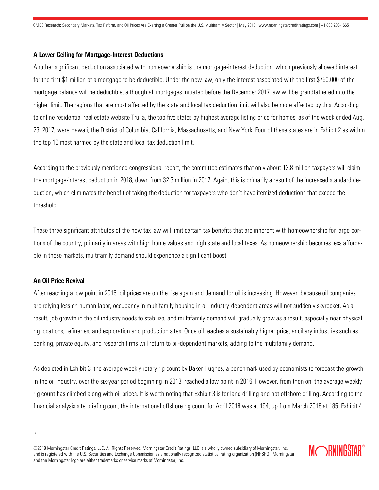#### A Lower Ceiling for Mortgage-Interest Deductions

Another significant deduction associated with homeownership is the mortgage-interest deduction, which previously allowed interest for the first \$1 million of a mortgage to be deductible. Under the new law, only the interest associated with the first \$750,000 of the mortgage balance will be deductible, although all mortgages initiated before the December 2017 law will be grandfathered into the higher limit. The regions that are most affected by the state and local tax deduction limit will also be more affected by this. According to online residential real estate website Trulia, the top five states by highest average listing price for homes, as of the week ended Aug. 23, 2017, were Hawaii, the District of Columbia, California, Massachusetts, and New York. Four of these states are in Exhibit 2 as within the top 10 most harmed by the state and local tax deduction limit.

According to the previously mentioned congressional report, the committee estimates that only about 13.8 million taxpayers will claim the mortgage-interest deduction in 2018, down from 32.3 million in 2017. Again, this is primarily a result of the increased standard deduction, which eliminates the benefit of taking the deduction for taxpayers who don't have itemized deductions that exceed the threshold.

These three significant attributes of the new tax law will limit certain tax benefits that are inherent with homeownership for large portions of the country, primarily in areas with high home values and high state and local taxes. As homeownership becomes less affordable in these markets, multifamily demand should experience a significant boost.

# An Oil Price Revival

After reaching a low point in 2016, oil prices are on the rise again and demand for oil is increasing. However, because oil companies are relying less on human labor, occupancy in multifamily housing in oil industry-dependent areas will not suddenly skyrocket. As a result, job growth in the oil industry needs to stabilize, and multifamily demand will gradually grow as a result, especially near physical rig locations, refineries, and exploration and production sites. Once oil reaches a sustainably higher price, ancillary industries such as banking, private equity, and research firms will return to oil-dependent markets, adding to the multifamily demand.

As depicted in Exhibit 3, the average weekly rotary rig count by Baker Hughes, a benchmark used by economists to forecast the growth in the oil industry, over the six-year period beginning in 2013, reached a low point in 2016. However, from then on, the average weekly rig count has climbed along with oil prices. It is worth noting that Exhibit 3 is for land drilling and not offshore drilling. According to the financial analysis site briefing.com, the international offshore rig count for April 2018 was at 194, up from March 2018 at 185. Exhibit 4

<sup>©2018</sup> Morningstar Credit Ratings, LLC. All Rights Reserved. Morningstar Credit Ratings, LLC is a wholly owned subsidiary of Morningstar, Inc. and is registered with the U.S. Securities and Exchange Commission as a nationally recognized statistical rating organization (NRSRO). Morningstar and the Morningstar logo are either trademarks or service marks of Morningstar, Inc.

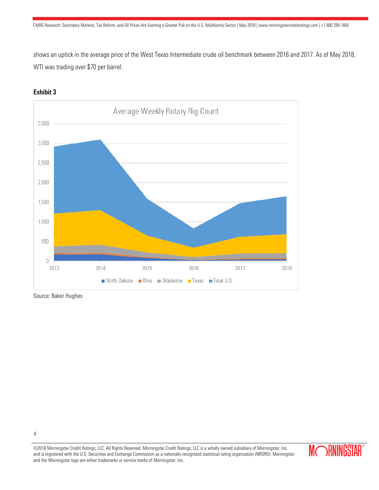shows an uptick in the average price of the West Texas Intermediate crude oil benchmark between 2016 and 2017. As of May 2018, WTI was trading over \$70 per barrel.



# Exhibit 3

Source: Baker Hughes

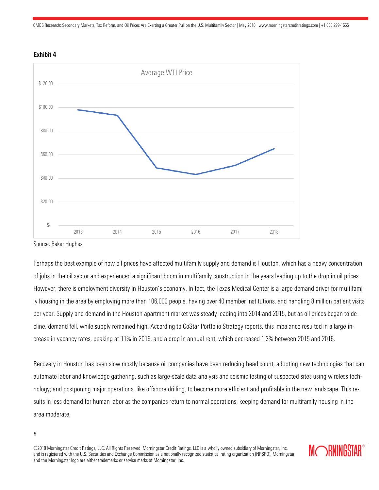CMBS Research: Secondary Markets, Tax Reform, and Oil Prices Are Exerting a Greater Pull on the U.S. Multifamily Sector | May 2018 | www.morningstarcreditratings.com | +1 800 299-1665





Source: Baker Hughes

Perhaps the best example of how oil prices have affected multifamily supply and demand is Houston, which has a heavy concentration of jobs in the oil sector and experienced a significant boom in multifamily construction in the years leading up to the drop in oil prices. However, there is employment diversity in Houston's economy. In fact, the Texas Medical Center is a large demand driver for multifamily housing in the area by employing more than 106,000 people, having over 40 member institutions, and handling 8 million patient visits per year. Supply and demand in the Houston apartment market was steady leading into 2014 and 2015, but as oil prices began to decline, demand fell, while supply remained high. According to CoStar Portfolio Strategy reports, this imbalance resulted in a large increase in vacancy rates, peaking at 11% in 2016, and a drop in annual rent, which decreased 1.3% between 2015 and 2016.

Recovery in Houston has been slow mostly because oil companies have been reducing head count; adopting new technologies that can automate labor and knowledge gathering, such as large-scale data analysis and seismic testing of suspected sites using wireless technology; and postponing major operations, like offshore drilling, to become more efficient and profitable in the new landscape. This results in less demand for human labor as the companies return to normal operations, keeping demand for multifamily housing in the area moderate.

<sup>©2018</sup> Morningstar Credit Ratings, LLC. All Rights Reserved. Morningstar Credit Ratings, LLC is a wholly owned subsidiary of Morningstar, Inc. and is registered with the U.S. Securities and Exchange Commission as a nationally recognized statistical rating organization (NRSRO). Morningstar and the Morningstar logo are either trademarks or service marks of Morningstar, Inc.



<sup>9</sup>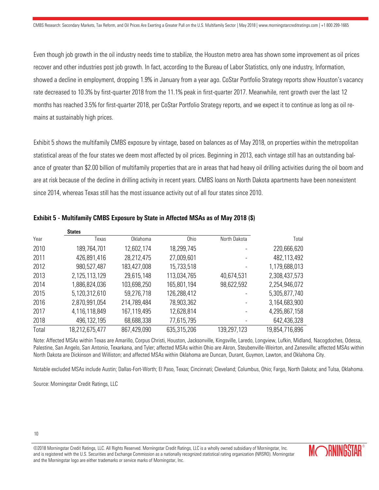Even though job growth in the oil industry needs time to stabilize, the Houston metro area has shown some improvement as oil prices recover and other industries post job growth. In fact, according to the Bureau of Labor Statistics, only one industry, Information, showed a decline in employment, dropping 1.9% in January from a year ago. CoStar Portfolio Strategy reports show Houston's vacancy rate decreased to 10.3% by first-quarter 2018 from the 11.1% peak in first-quarter 2017. Meanwhile, rent growth over the last 12 months has reached 3.5% for first-quarter 2018, per CoStar Portfolio Strategy reports, and we expect it to continue as long as oil remains at sustainably high prices.

Exhibit 5 shows the multifamily CMBS exposure by vintage, based on balances as of May 2018, on properties within the metropolitan statistical areas of the four states we deem most affected by oil prices. Beginning in 2013, each vintage still has an outstanding balance of greater than \$2.00 billion of multifamily properties that are in areas that had heavy oil drilling activities during the oil boom and are at risk because of the decline in drilling activity in recent years. CMBS loans on North Dakota apartments have been nonexistent since 2014, whereas Texas still has the most issuance activity out of all four states since 2010.

|       | <b>States</b>  |             |             |              |                |
|-------|----------------|-------------|-------------|--------------|----------------|
| Year  | Texas          | Oklahoma    | 0hio        | North Dakota | Total          |
| 2010  | 189,764,701    | 12,602,174  | 18,299,745  |              | 220,666,620    |
| 2011  | 426,891,416    | 28,212,475  | 27,009,601  |              | 482,113,492    |
| 2012  | 980,527,487    | 183,427,008 | 15,733,518  |              | 1,179,688,013  |
| 2013  | 2,125,113,129  | 29,615,148  | 113,034,765 | 40,674,531   | 2,308,437,573  |
| 2014  | 1,886,824,036  | 103,698,250 | 165,801,194 | 98,622,592   | 2,254,946,072  |
| 2015  | 5,120,312,610  | 59,276,718  | 126,288,412 |              | 5,305,877,740  |
| 2016  | 2,870,991,054  | 214,789,484 | 78,903,362  |              | 3,164,683,900  |
| 2017  | 4,116,118,849  | 167,119,495 | 12,628,814  |              | 4,295,867,158  |
| 2018  | 496, 132, 195  | 68,688,338  | 77,615,795  |              | 642,436,328    |
| Total | 18,212,675,477 | 867,429,090 | 635,315,206 | 139,297,123  | 19,854,716,896 |

### Exhibit 5 - Multifamily CMBS Exposure by State in Affected MSAs as of May 2018 (\$)

Note: Affected MSAs within Texas are Amarillo, Corpus Christi, Houston, Jacksonville, Kingsville, Laredo, Longview, Lufkin, Midland, Nacogdoches, Odessa, Palestine, San Angelo, San Antonio, Texarkana, and Tyler; affected MSAs within Ohio are Akron, Steubenville-Weirton, and Zanesville; affected MSAs within North Dakota are Dickinson and Williston; and affected MSAs within Oklahoma are Duncan, Durant, Guymon, Lawton, and Oklahoma City.

Notable excluded MSAs include Austin; Dallas-Fort-Worth; El Paso, Texas; Cincinnati; Cleveland; Columbus, Ohio; Fargo, North Dakota; and Tulsa, Oklahoma.

Source: Morningstar Credit Ratings, LLC

10